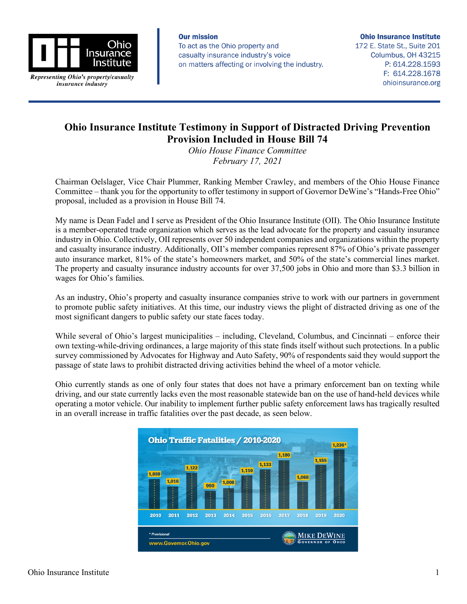

Representing Ohio's property/casualty insurance industry

**Our mission** To act as the Ohio property and casualty insurance industry's voice on matters affecting or involving the industry.

**Ohio Insurance Institute** 172 E. State St., Suite 201

Columbus, OH 43215 P: 614.228.1593 F: 614.228.1678 ohioinsurance.org

## **Ohio Insurance Institute Testimony in Support of Distracted Driving Prevention Provision Included in House Bill 74**

*Ohio House Finance Committee February 17, 2021*

Chairman Oelslager, Vice Chair Plummer, Ranking Member Crawley, and members of the Ohio House Finance Committee – thank you for the opportunity to offer testimony in support of Governor DeWine's "Hands-Free Ohio" proposal, included as a provision in House Bill 74.

My name is Dean Fadel and I serve as President of the Ohio Insurance Institute (OII). The Ohio Insurance Institute is a member-operated trade organization which serves as the lead advocate for the property and casualty insurance industry in Ohio. Collectively, OII represents over 50 independent companies and organizations within the property and casualty insurance industry. Additionally, OII's member companies represent 87% of Ohio's private passenger auto insurance market, 81% of the state's homeowners market, and 50% of the state's commercial lines market. The property and casualty insurance industry accounts for over 37,500 jobs in Ohio and more than \$3.3 billion in wages for Ohio's families.

As an industry, Ohio's property and casualty insurance companies strive to work with our partners in government to promote public safety initiatives. At this time, our industry views the plight of distracted driving as one of the most significant dangers to public safety our state faces today.

While several of Ohio's largest municipalities – including, Cleveland, Columbus, and Cincinnati – enforce their own texting-while-driving ordinances, a large majority of this state finds itself without such protections. In a public survey commissioned by Advocates for Highway and Auto Safety, 90% of respondents said they would support the passage of state laws to prohibit distracted driving activities behind the wheel of a motor vehicle.

Ohio currently stands as one of only four states that does not have a primary enforcement ban on texting while driving, and our state currently lacks even the most reasonable statewide ban on the use of hand-held devices while operating a motor vehicle. Our inability to implement further public safety enforcement laws has tragically resulted in an overall increase in traffic fatalities over the past decade, as seen below.